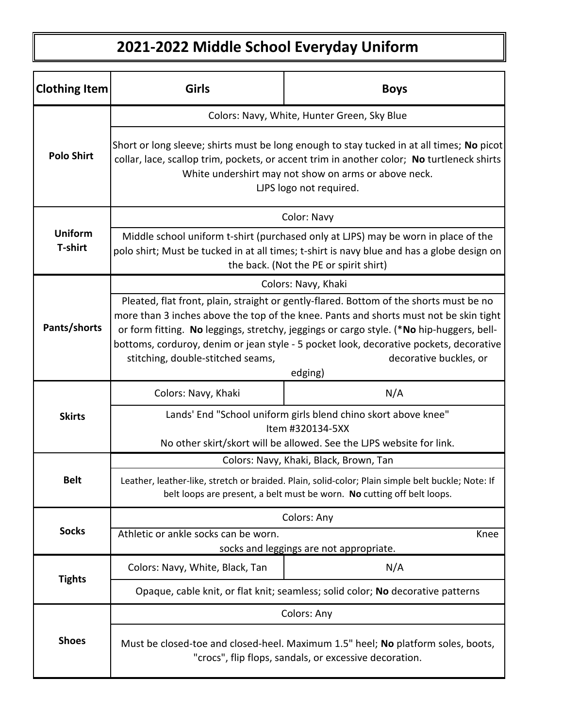## **2021-2022 Middle School Everyday Uniform**

| <b>Clothing Item</b>             | Girls                                                                                                                                                                                                                                                                                                                                                                                                                                           | <b>Boys</b> |  |
|----------------------------------|-------------------------------------------------------------------------------------------------------------------------------------------------------------------------------------------------------------------------------------------------------------------------------------------------------------------------------------------------------------------------------------------------------------------------------------------------|-------------|--|
| <b>Polo Shirt</b>                | Colors: Navy, White, Hunter Green, Sky Blue                                                                                                                                                                                                                                                                                                                                                                                                     |             |  |
|                                  | Short or long sleeve; shirts must be long enough to stay tucked in at all times; No picot<br>collar, lace, scallop trim, pockets, or accent trim in another color; No turtleneck shirts<br>White undershirt may not show on arms or above neck.<br>LJPS logo not required.                                                                                                                                                                      |             |  |
| <b>Uniform</b><br><b>T-shirt</b> | Color: Navy                                                                                                                                                                                                                                                                                                                                                                                                                                     |             |  |
|                                  | Middle school uniform t-shirt (purchased only at LJPS) may be worn in place of the<br>polo shirt; Must be tucked in at all times; t-shirt is navy blue and has a globe design on<br>the back. (Not the PE or spirit shirt)                                                                                                                                                                                                                      |             |  |
| Pants/shorts                     | Colors: Navy, Khaki                                                                                                                                                                                                                                                                                                                                                                                                                             |             |  |
|                                  | Pleated, flat front, plain, straight or gently-flared. Bottom of the shorts must be no<br>more than 3 inches above the top of the knee. Pants and shorts must not be skin tight<br>or form fitting. No leggings, stretchy, jeggings or cargo style. (*No hip-huggers, bell-<br>bottoms, corduroy, denim or jean style - 5 pocket look, decorative pockets, decorative<br>stitching, double-stitched seams,<br>decorative buckles, or<br>edging) |             |  |
| <b>Skirts</b>                    | Colors: Navy, Khaki                                                                                                                                                                                                                                                                                                                                                                                                                             | N/A         |  |
|                                  | Lands' End "School uniform girls blend chino skort above knee"<br>Item #320134-5XX<br>No other skirt/skort will be allowed. See the LJPS website for link.                                                                                                                                                                                                                                                                                      |             |  |
| <b>Belt</b>                      | Colors: Navy, Khaki, Black, Brown, Tan                                                                                                                                                                                                                                                                                                                                                                                                          |             |  |
|                                  | Leather, leather-like, stretch or braided. Plain, solid-color: Plain simple belt buckle: Note: If<br>belt loops are present, a belt must be worn. No cutting off belt loops.                                                                                                                                                                                                                                                                    |             |  |
| <b>Socks</b>                     | Colors: Any                                                                                                                                                                                                                                                                                                                                                                                                                                     |             |  |
|                                  | Athletic or ankle socks can be worn.<br>Knee<br>socks and leggings are not appropriate.                                                                                                                                                                                                                                                                                                                                                         |             |  |
| <b>Tights</b>                    | Colors: Navy, White, Black, Tan                                                                                                                                                                                                                                                                                                                                                                                                                 | N/A         |  |
|                                  | Opaque, cable knit, or flat knit; seamless; solid color; No decorative patterns                                                                                                                                                                                                                                                                                                                                                                 |             |  |
| <b>Shoes</b>                     | Colors: Any                                                                                                                                                                                                                                                                                                                                                                                                                                     |             |  |
|                                  | Must be closed-toe and closed-heel. Maximum 1.5" heel; No platform soles, boots,<br>"crocs", flip flops, sandals, or excessive decoration.                                                                                                                                                                                                                                                                                                      |             |  |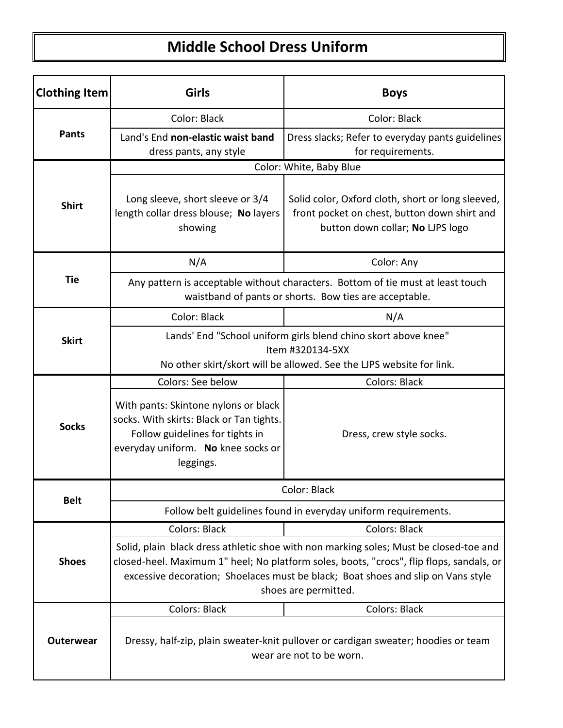## **Middle School Dress Uniform**

| <b>Clothing Item</b> | Girls                                                                                                                                                                                                                                                                                         | <b>Boys</b>                                                                                                                           |  |
|----------------------|-----------------------------------------------------------------------------------------------------------------------------------------------------------------------------------------------------------------------------------------------------------------------------------------------|---------------------------------------------------------------------------------------------------------------------------------------|--|
| <b>Pants</b>         | Color: Black                                                                                                                                                                                                                                                                                  | Color: Black                                                                                                                          |  |
|                      | Land's End non-elastic waist band<br>dress pants, any style                                                                                                                                                                                                                                   | Dress slacks; Refer to everyday pants guidelines<br>for requirements.                                                                 |  |
|                      | Color: White, Baby Blue                                                                                                                                                                                                                                                                       |                                                                                                                                       |  |
| <b>Shirt</b>         | Long sleeve, short sleeve or 3/4<br>length collar dress blouse; No layers<br>showing                                                                                                                                                                                                          | Solid color, Oxford cloth, short or long sleeved,<br>front pocket on chest, button down shirt and<br>button down collar; No LJPS logo |  |
|                      | N/A                                                                                                                                                                                                                                                                                           | Color: Any                                                                                                                            |  |
| <b>Tie</b>           | Any pattern is acceptable without characters. Bottom of tie must at least touch<br>waistband of pants or shorts. Bow ties are acceptable.                                                                                                                                                     |                                                                                                                                       |  |
|                      | Color: Black                                                                                                                                                                                                                                                                                  | N/A                                                                                                                                   |  |
| <b>Skirt</b>         | Lands' End "School uniform girls blend chino skort above knee"<br>Item #320134-5XX<br>No other skirt/skort will be allowed. See the LJPS website for link.                                                                                                                                    |                                                                                                                                       |  |
|                      | Colors: See below                                                                                                                                                                                                                                                                             | <b>Colors: Black</b>                                                                                                                  |  |
| <b>Socks</b>         | With pants: Skintone nylons or black<br>socks. With skirts: Black or Tan tights.<br>Follow guidelines for tights in<br>everyday uniform. No knee socks or<br>leggings.                                                                                                                        | Dress, crew style socks.                                                                                                              |  |
|                      | Color: Black                                                                                                                                                                                                                                                                                  |                                                                                                                                       |  |
| <b>Belt</b>          | Follow belt guidelines found in everyday uniform requirements.                                                                                                                                                                                                                                |                                                                                                                                       |  |
|                      | <b>Colors: Black</b>                                                                                                                                                                                                                                                                          | <b>Colors: Black</b>                                                                                                                  |  |
| <b>Shoes</b>         | Solid, plain black dress athletic shoe with non marking soles; Must be closed-toe and<br>closed-heel. Maximum 1" heel; No platform soles, boots, "crocs", flip flops, sandals, or<br>excessive decoration; Shoelaces must be black; Boat shoes and slip on Vans style<br>shoes are permitted. |                                                                                                                                       |  |
| <b>Outerwear</b>     | <b>Colors: Black</b>                                                                                                                                                                                                                                                                          | <b>Colors: Black</b>                                                                                                                  |  |
|                      | Dressy, half-zip, plain sweater-knit pullover or cardigan sweater; hoodies or team<br>wear are not to be worn.                                                                                                                                                                                |                                                                                                                                       |  |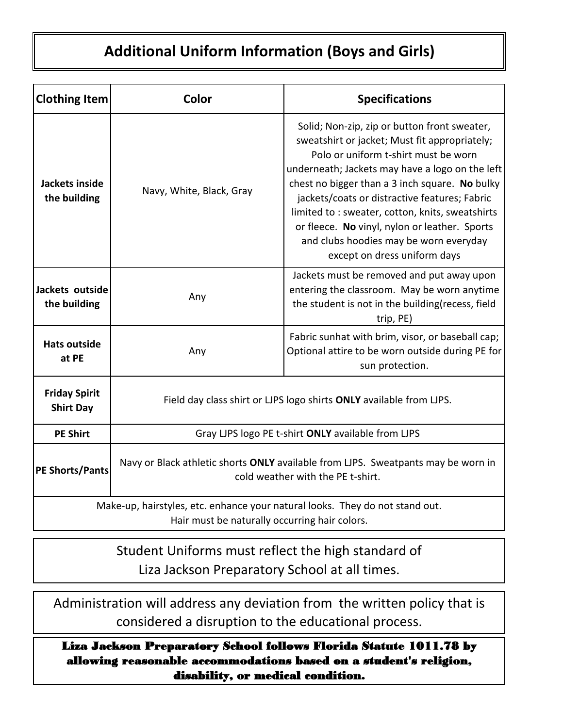## **Additional Uniform Information (Boys and Girls)**

| <b>Clothing Item</b>                                                                                                          | Color                                                                                                                  | <b>Specifications</b>                                                                                                                                                                                                                                                                                                                                                                                                                                                      |  |
|-------------------------------------------------------------------------------------------------------------------------------|------------------------------------------------------------------------------------------------------------------------|----------------------------------------------------------------------------------------------------------------------------------------------------------------------------------------------------------------------------------------------------------------------------------------------------------------------------------------------------------------------------------------------------------------------------------------------------------------------------|--|
| Jackets inside<br>the building                                                                                                | Navy, White, Black, Gray                                                                                               | Solid; Non-zip, zip or button front sweater,<br>sweatshirt or jacket; Must fit appropriately;<br>Polo or uniform t-shirt must be worn<br>underneath; Jackets may have a logo on the left<br>chest no bigger than a 3 inch square. No bulky<br>jackets/coats or distractive features; Fabric<br>limited to : sweater, cotton, knits, sweatshirts<br>or fleece. No vinyl, nylon or leather. Sports<br>and clubs hoodies may be worn everyday<br>except on dress uniform days |  |
| Jackets outside<br>the building                                                                                               | Any                                                                                                                    | Jackets must be removed and put away upon<br>entering the classroom. May be worn anytime<br>the student is not in the building(recess, field<br>trip, PE)                                                                                                                                                                                                                                                                                                                  |  |
| <b>Hats outside</b><br>at PE                                                                                                  | Any                                                                                                                    | Fabric sunhat with brim, visor, or baseball cap;<br>Optional attire to be worn outside during PE for<br>sun protection.                                                                                                                                                                                                                                                                                                                                                    |  |
| <b>Friday Spirit</b><br><b>Shirt Day</b>                                                                                      | Field day class shirt or LJPS logo shirts ONLY available from LJPS.                                                    |                                                                                                                                                                                                                                                                                                                                                                                                                                                                            |  |
| <b>PE Shirt</b>                                                                                                               | Gray LJPS logo PE t-shirt ONLY available from LJPS                                                                     |                                                                                                                                                                                                                                                                                                                                                                                                                                                                            |  |
| <b>PE Shorts/Pants</b>                                                                                                        | Navy or Black athletic shorts ONLY available from LJPS. Sweatpants may be worn in<br>cold weather with the PE t-shirt. |                                                                                                                                                                                                                                                                                                                                                                                                                                                                            |  |
| Make-up, hairstyles, etc. enhance your natural looks. They do not stand out.<br>Hair must be naturally occurring hair colors. |                                                                                                                        |                                                                                                                                                                                                                                                                                                                                                                                                                                                                            |  |

Student Uniforms must reflect the high standard of Liza Jackson Preparatory School at all times.

Administration will address any deviation from the written policy that is considered a disruption to the educational process.

Liza Jackson Preparatory School follows Florida Statute 1011.78 by allowing reasonable accommodations based on a student's religion, disability, or medical condition.